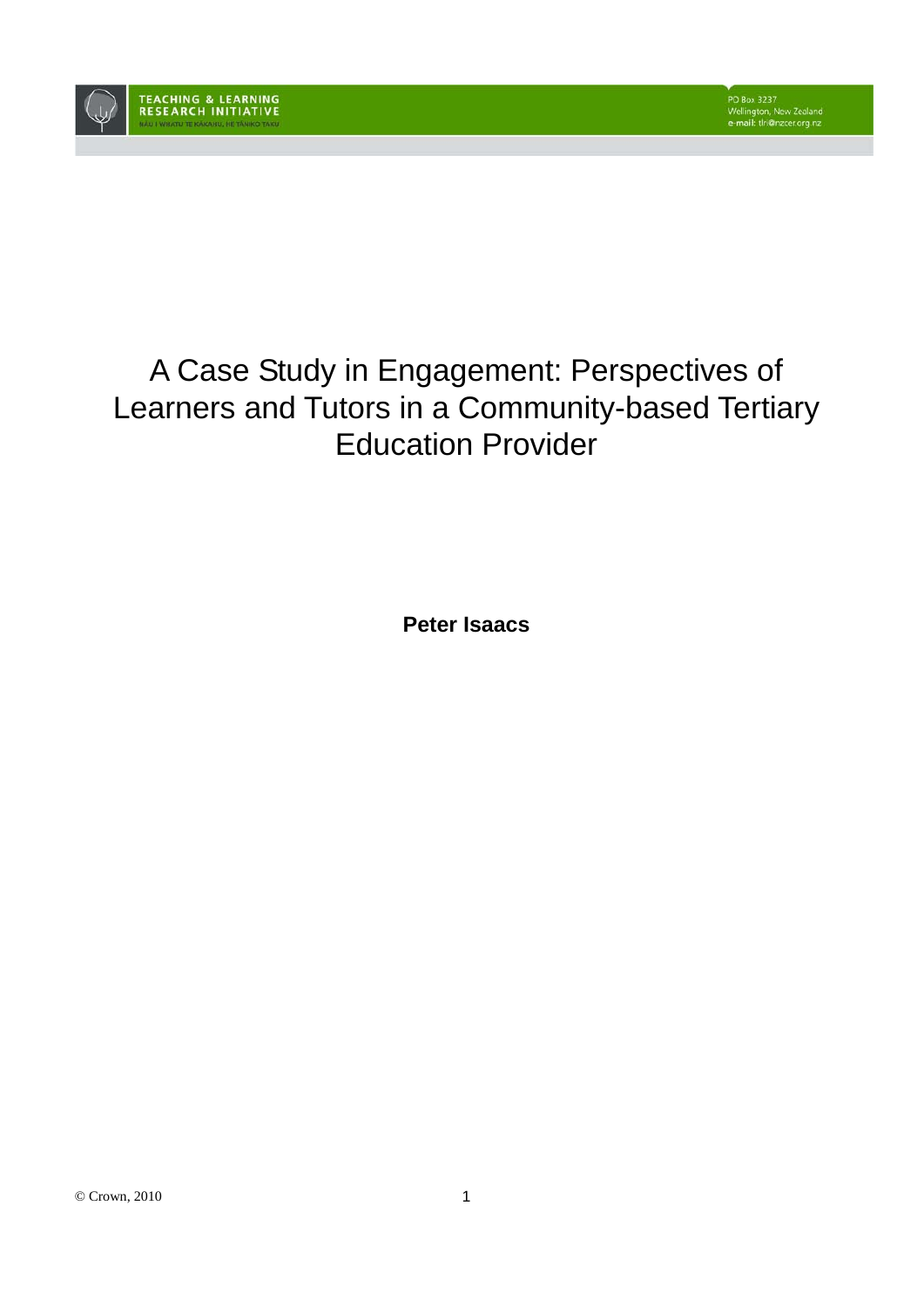

# A Case Study in Engagement: Perspectives of Learners and Tutors in a Community-based Tertiary Education Provider

**Peter Isaacs**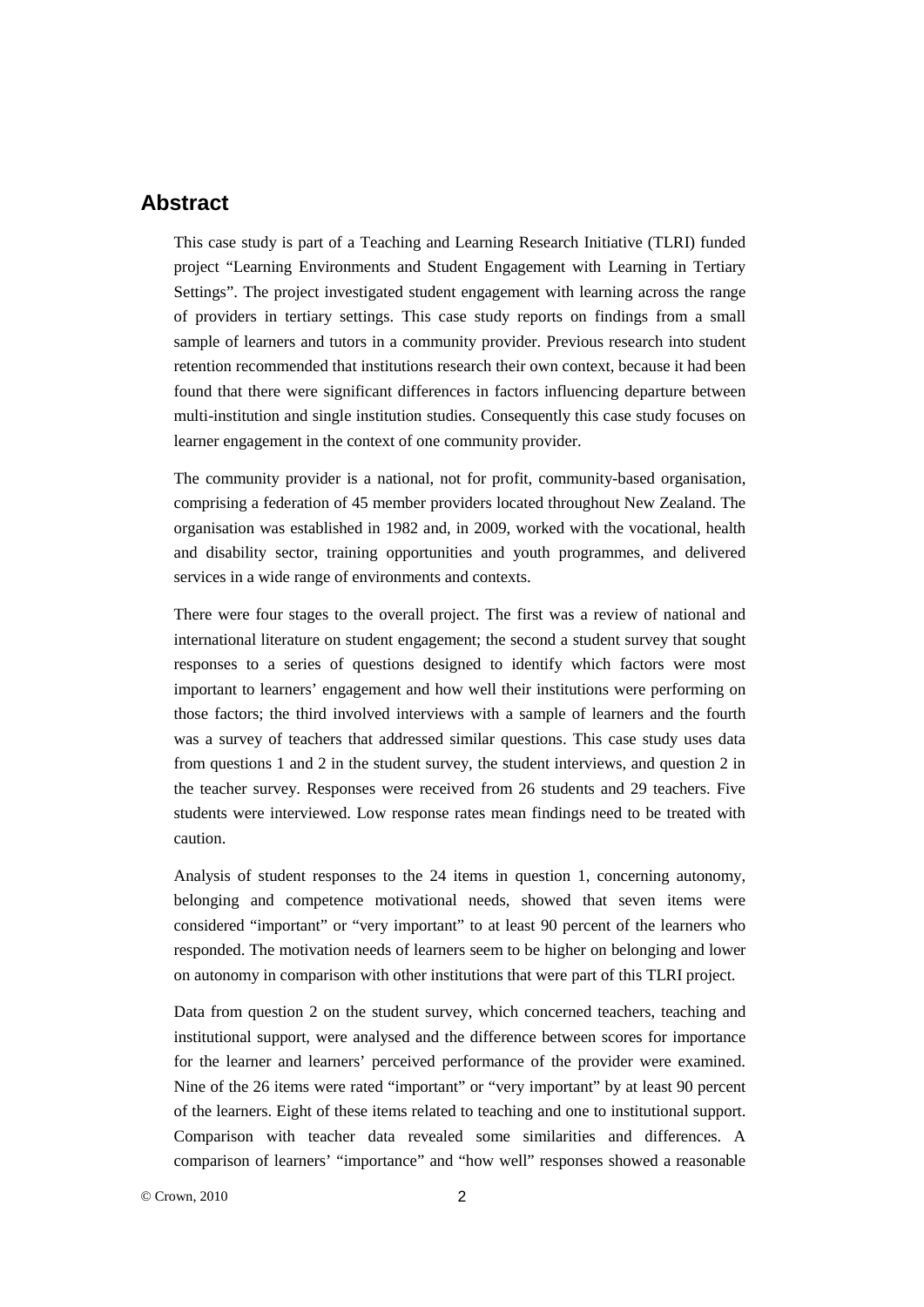## **Abstract**

This case study is part of a Teaching and Learning Research Initiative (TLRI) funded project "Learning Environments and Student Engagement with Learning in Tertiary Settings". The project investigated student engagement with learning across the range of providers in tertiary settings. This case study reports on findings from a small sample of learners and tutors in a community provider. Previous research into student retention recommended that institutions research their own context, because it had been found that there were significant differences in factors influencing departure between multi-institution and single institution studies. Consequently this case study focuses on learner engagement in the context of one community provider.

The community provider is a national, not for profit, community-based organisation, comprising a federation of 45 member providers located throughout New Zealand. The organisation was established in 1982 and, in 2009, worked with the vocational, health and disability sector, training opportunities and youth programmes, and delivered services in a wide range of environments and contexts.

There were four stages to the overall project. The first was a review of national and international literature on student engagement; the second a student survey that sought responses to a series of questions designed to identify which factors were most important to learners' engagement and how well their institutions were performing on those factors; the third involved interviews with a sample of learners and the fourth was a survey of teachers that addressed similar questions. This case study uses data from questions 1 and 2 in the student survey, the student interviews, and question 2 in the teacher survey. Responses were received from 26 students and 29 teachers. Five students were interviewed. Low response rates mean findings need to be treated with caution.

Analysis of student responses to the 24 items in question 1, concerning autonomy, belonging and competence motivational needs, showed that seven items were considered "important" or "very important" to at least 90 percent of the learners who responded. The motivation needs of learners seem to be higher on belonging and lower on autonomy in comparison with other institutions that were part of this TLRI project.

Data from question 2 on the student survey, which concerned teachers, teaching and institutional support, were analysed and the difference between scores for importance for the learner and learners' perceived performance of the provider were examined. Nine of the 26 items were rated "important" or "very important" by at least 90 percent of the learners. Eight of these items related to teaching and one to institutional support. Comparison with teacher data revealed some similarities and differences. A comparison of learners' "importance" and "how well" responses showed a reasonable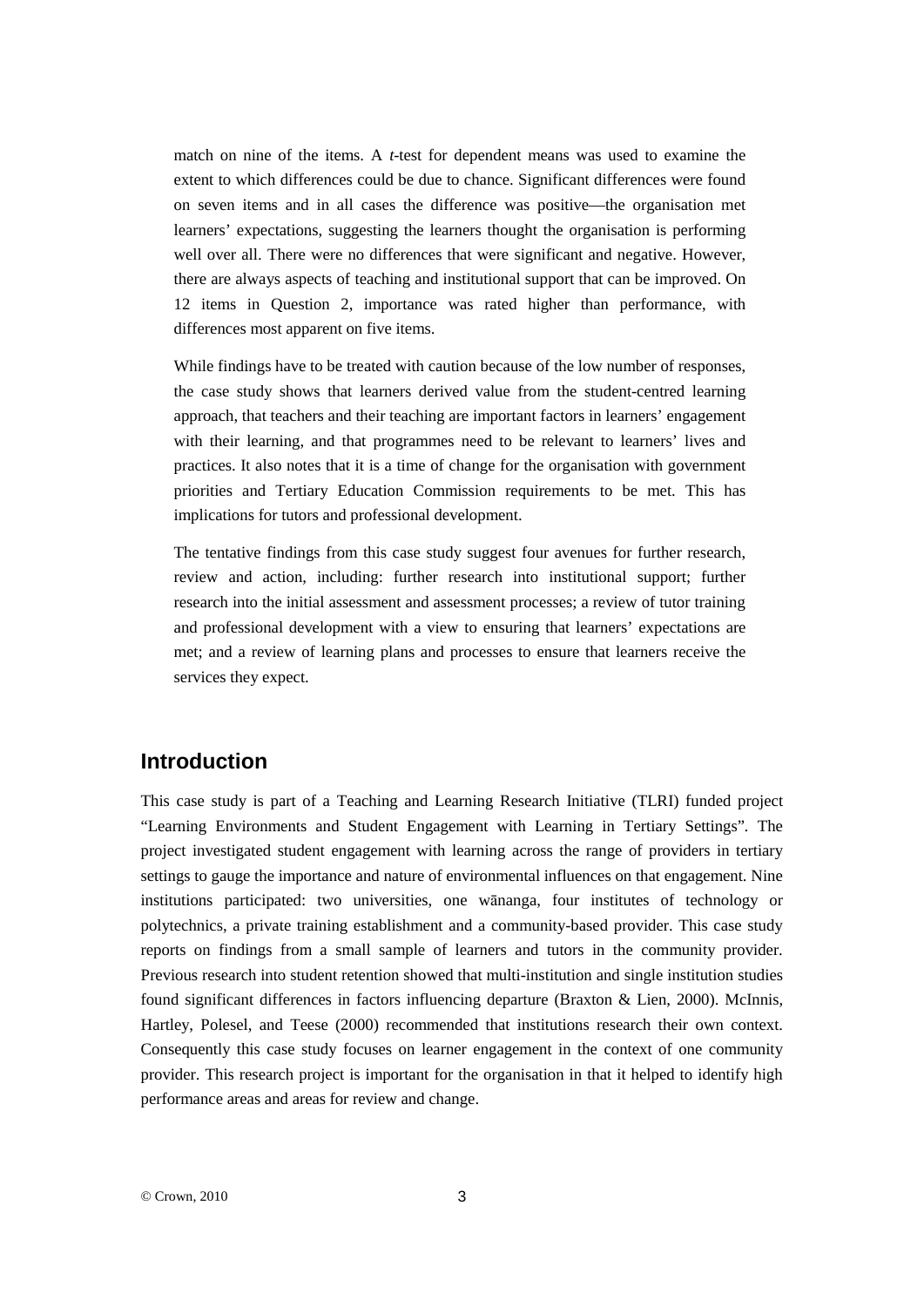match on nine of the items. A *t*-test for dependent means was used to examine the extent to which differences could be due to chance. Significant differences were found on seven items and in all cases the difference was positive—the organisation met learners' expectations, suggesting the learners thought the organisation is performing well over all. There were no differences that were significant and negative. However, there are always aspects of teaching and institutional support that can be improved. On 12 items in Question 2, importance was rated higher than performance, with differences most apparent on five items.

While findings have to be treated with caution because of the low number of responses. the case study shows that learners derived value from the student-centred learning approach, that teachers and their teaching are important factors in learners' engagement with their learning, and that programmes need to be relevant to learners' lives and practices. It also notes that it is a time of change for the organisation with government priorities and Tertiary Education Commission requirements to be met. This has implications for tutors and professional development.

The tentative findings from this case study suggest four avenues for further research, review and action, including: further research into institutional support; further research into the initial assessment and assessment processes; a review of tutor training and professional development with a view to ensuring that learners' expectations are met; and a review of learning plans and processes to ensure that learners receive the services they expect.

## **Introduction**

This case study is part of a Teaching and Learning Research Initiative (TLRI) funded project "Learning Environments and Student Engagement with Learning in Tertiary Settings"*.* The project investigated student engagement with learning across the range of providers in tertiary settings to gauge the importance and nature of environmental influences on that engagement. Nine institutions participated: two universities, one wānanga, four institutes of technology or polytechnics, a private training establishment and a community-based provider. This case study reports on findings from a small sample of learners and tutors in the community provider. Previous research into student retention showed that multi-institution and single institution studies found significant differences in factors influencing departure (Braxton & Lien, 2000). McInnis, Hartley, Polesel, and Teese (2000) recommended that institutions research their own context. Consequently this case study focuses on learner engagement in the context of one community provider. This research project is important for the organisation in that it helped to identify high performance areas and areas for review and change.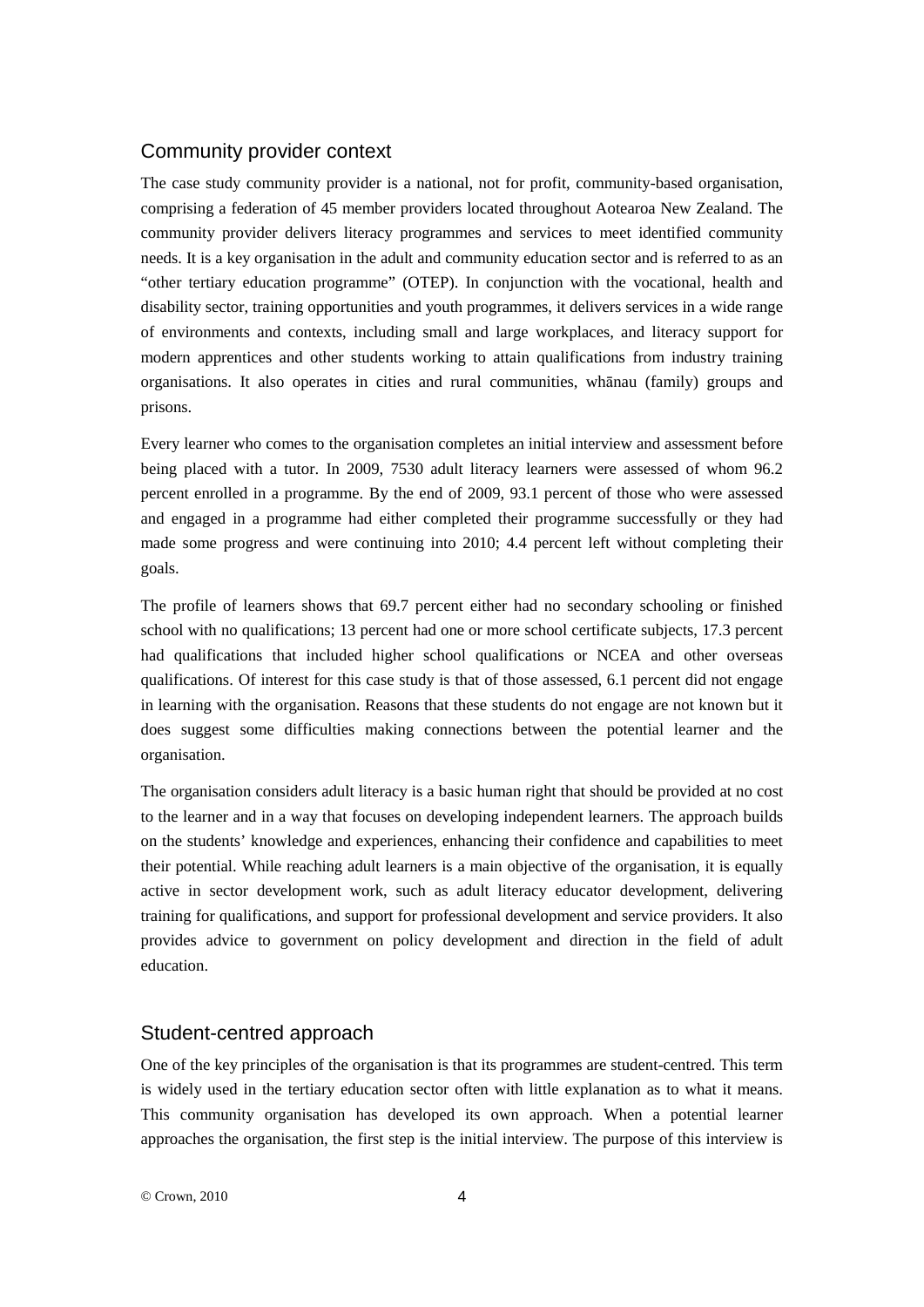#### Community provider context

The case study community provider is a national, not for profit, community-based organisation, comprising a federation of 45 member providers located throughout Aotearoa New Zealand. The community provider delivers literacy programmes and services to meet identified community needs. It is a key organisation in the adult and community education sector and is referred to as an "other tertiary education programme" (OTEP). In conjunction with the vocational, health and disability sector, training opportunities and youth programmes, it delivers services in a wide range of environments and contexts, including small and large workplaces, and literacy support for modern apprentices and other students working to attain qualifications from industry training organisations. It also operates in cities and rural communities, whānau (family) groups and prisons.

Every learner who comes to the organisation completes an initial interview and assessment before being placed with a tutor. In 2009, 7530 adult literacy learners were assessed of whom 96.2 percent enrolled in a programme. By the end of 2009, 93.1 percent of those who were assessed and engaged in a programme had either completed their programme successfully or they had made some progress and were continuing into 2010; 4.4 percent left without completing their goals.

The profile of learners shows that 69.7 percent either had no secondary schooling or finished school with no qualifications; 13 percent had one or more school certificate subjects, 17.3 percent had qualifications that included higher school qualifications or NCEA and other overseas qualifications. Of interest for this case study is that of those assessed, 6.1 percent did not engage in learning with the organisation. Reasons that these students do not engage are not known but it does suggest some difficulties making connections between the potential learner and the organisation.

The organisation considers adult literacy is a basic human right that should be provided at no cost to the learner and in a way that focuses on developing independent learners. The approach builds on the students' knowledge and experiences, enhancing their confidence and capabilities to meet their potential. While reaching adult learners is a main objective of the organisation, it is equally active in sector development work, such as adult literacy educator development, delivering training for qualifications, and support for professional development and service providers. It also provides advice to government on policy development and direction in the field of adult education.

#### Student-centred approach

One of the key principles of the organisation is that its programmes are student-centred. This term is widely used in the tertiary education sector often with little explanation as to what it means. This community organisation has developed its own approach. When a potential learner approaches the organisation, the first step is the initial interview. The purpose of this interview is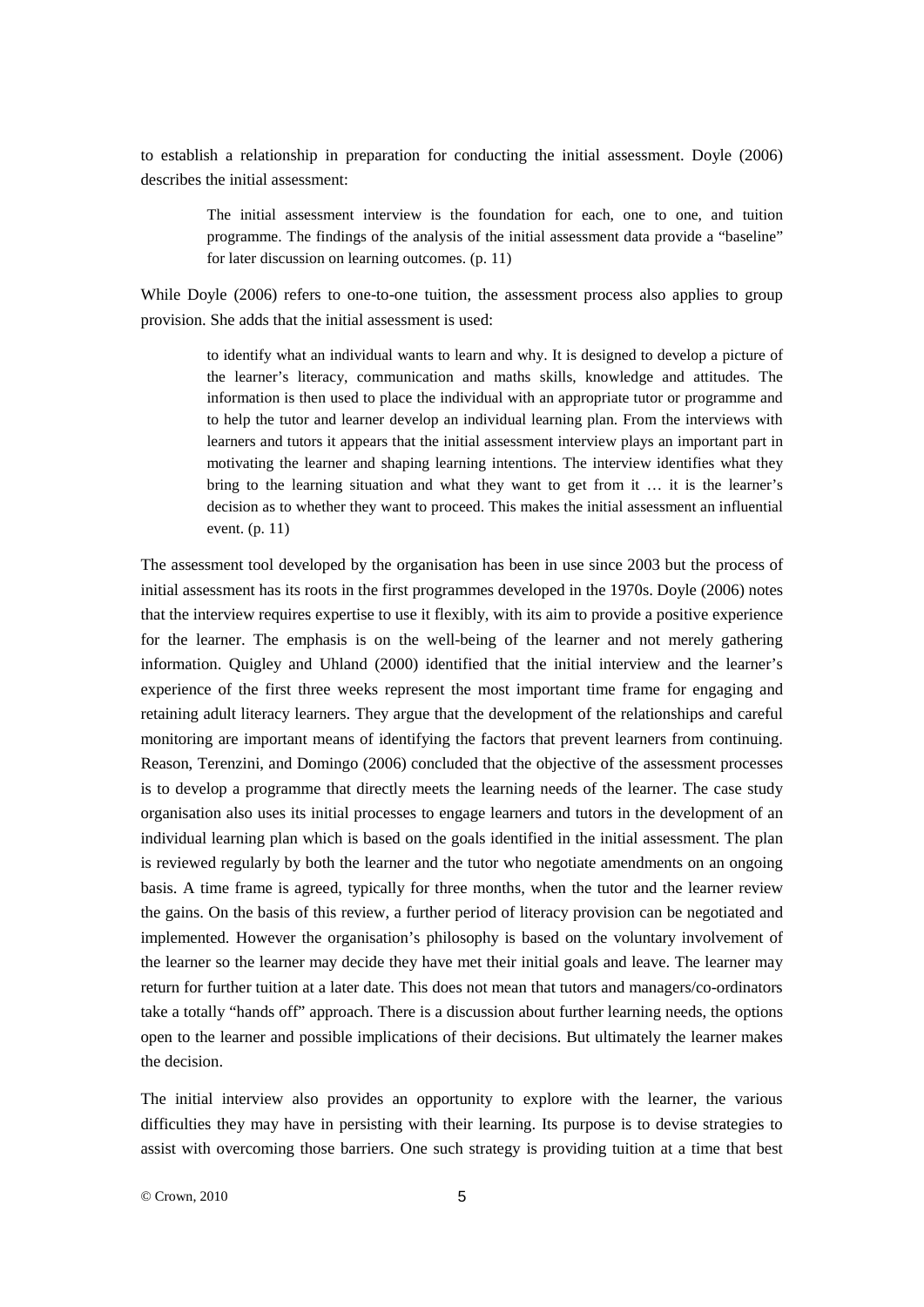to establish a relationship in preparation for conducting the initial assessment. Doyle (2006) describes the initial assessment:

> The initial assessment interview is the foundation for each, one to one, and tuition programme. The findings of the analysis of the initial assessment data provide a "baseline" for later discussion on learning outcomes. (p. 11)

While Doyle (2006) refers to one-to-one tuition, the assessment process also applies to group provision. She adds that the initial assessment is used:

> to identify what an individual wants to learn and why. It is designed to develop a picture of the learner's literacy, communication and maths skills, knowledge and attitudes. The information is then used to place the individual with an appropriate tutor or programme and to help the tutor and learner develop an individual learning plan. From the interviews with learners and tutors it appears that the initial assessment interview plays an important part in motivating the learner and shaping learning intentions. The interview identifies what they bring to the learning situation and what they want to get from it … it is the learner's decision as to whether they want to proceed. This makes the initial assessment an influential event. (p. 11)

The assessment tool developed by the organisation has been in use since 2003 but the process of initial assessment has its roots in the first programmes developed in the 1970s. Doyle (2006) notes that the interview requires expertise to use it flexibly, with its aim to provide a positive experience for the learner. The emphasis is on the well-being of the learner and not merely gathering information. Quigley and Uhland (2000) identified that the initial interview and the learner's experience of the first three weeks represent the most important time frame for engaging and retaining adult literacy learners. They argue that the development of the relationships and careful monitoring are important means of identifying the factors that prevent learners from continuing. Reason, Terenzini, and Domingo (2006) concluded that the objective of the assessment processes is to develop a programme that directly meets the learning needs of the learner. The case study organisation also uses its initial processes to engage learners and tutors in the development of an individual learning plan which is based on the goals identified in the initial assessment. The plan is reviewed regularly by both the learner and the tutor who negotiate amendments on an ongoing basis. A time frame is agreed, typically for three months, when the tutor and the learner review the gains. On the basis of this review, a further period of literacy provision can be negotiated and implemented. However the organisation's philosophy is based on the voluntary involvement of the learner so the learner may decide they have met their initial goals and leave. The learner may return for further tuition at a later date. This does not mean that tutors and managers/co-ordinators take a totally "hands off" approach. There is a discussion about further learning needs, the options open to the learner and possible implications of their decisions. But ultimately the learner makes the decision.

The initial interview also provides an opportunity to explore with the learner, the various difficulties they may have in persisting with their learning. Its purpose is to devise strategies to assist with overcoming those barriers. One such strategy is providing tuition at a time that best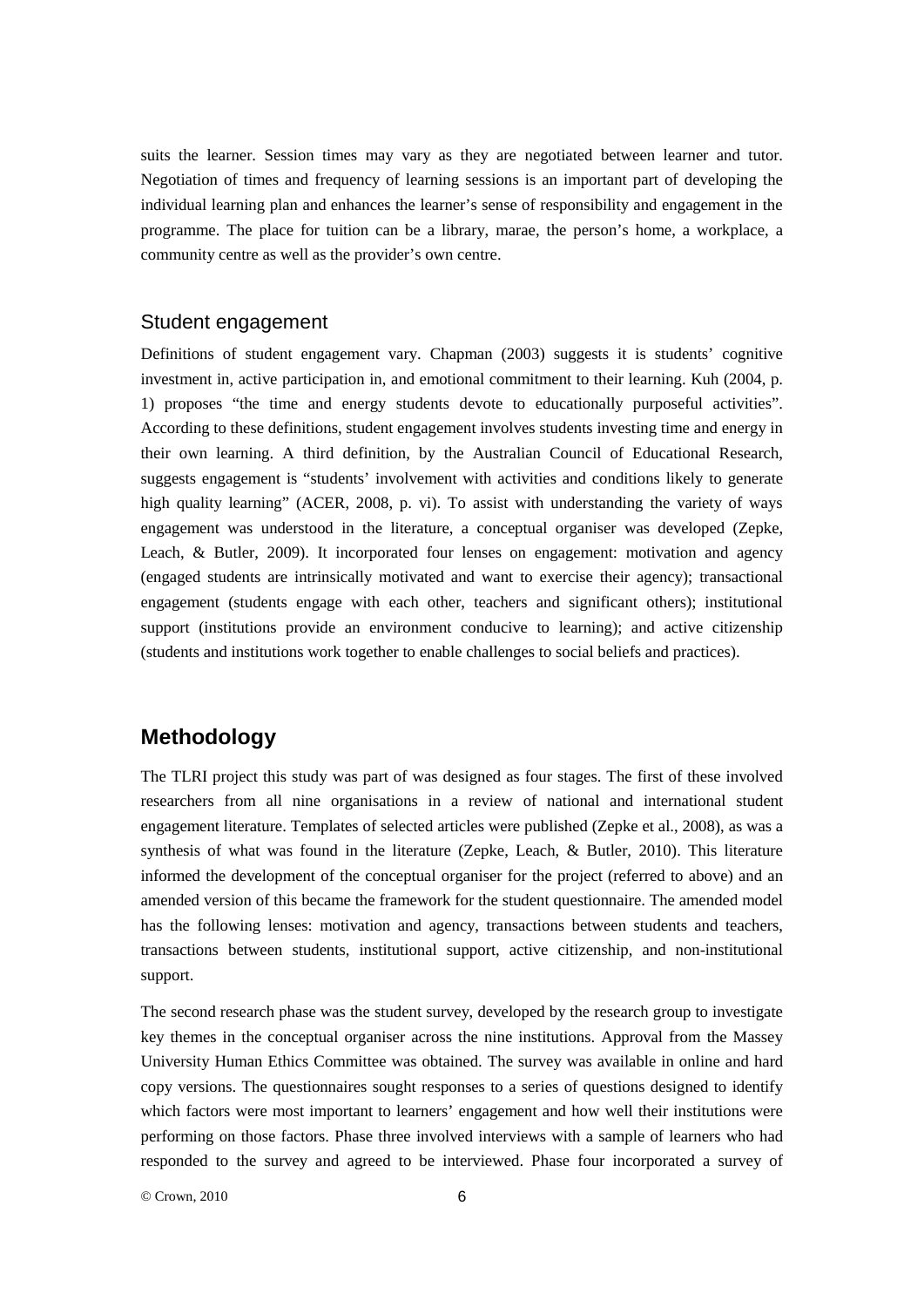suits the learner. Session times may vary as they are negotiated between learner and tutor. Negotiation of times and frequency of learning sessions is an important part of developing the individual learning plan and enhances the learner's sense of responsibility and engagement in the programme. The place for tuition can be a library, marae, the person's home, a workplace, a community centre as well as the provider's own centre.

#### Student engagement

Definitions of student engagement vary. Chapman (2003) suggests it is students' cognitive investment in, active participation in, and emotional commitment to their learning. Kuh (2004, p. 1) proposes "the time and energy students devote to educationally purposeful activities". According to these definitions, student engagement involves students investing time and energy in their own learning. A third definition, by the Australian Council of Educational Research, suggests engagement is "students' involvement with activities and conditions likely to generate high quality learning" (ACER, 2008, p. vi). To assist with understanding the variety of ways engagement was understood in the literature, a conceptual organiser was developed (Zepke, Leach, & Butler, 2009). It incorporated four lenses on engagement: motivation and agency (engaged students are intrinsically motivated and want to exercise their agency); transactional engagement (students engage with each other, teachers and significant others); institutional support (institutions provide an environment conducive to learning); and active citizenship (students and institutions work together to enable challenges to social beliefs and practices).

#### **Methodology**

The TLRI project this study was part of was designed as four stages. The first of these involved researchers from all nine organisations in a review of national and international student engagement literature. Templates of selected articles were published (Zepke et al., 2008), as was a synthesis of what was found in the literature (Zepke, Leach, & Butler, 2010). This literature informed the development of the conceptual organiser for the project (referred to above) and an amended version of this became the framework for the student questionnaire. The amended model has the following lenses: motivation and agency, transactions between students and teachers, transactions between students, institutional support, active citizenship, and non-institutional support.

The second research phase was the student survey, developed by the research group to investigate key themes in the conceptual organiser across the nine institutions. Approval from the Massey University Human Ethics Committee was obtained. The survey was available in online and hard copy versions. The questionnaires sought responses to a series of questions designed to identify which factors were most important to learners' engagement and how well their institutions were performing on those factors. Phase three involved interviews with a sample of learners who had responded to the survey and agreed to be interviewed. Phase four incorporated a survey of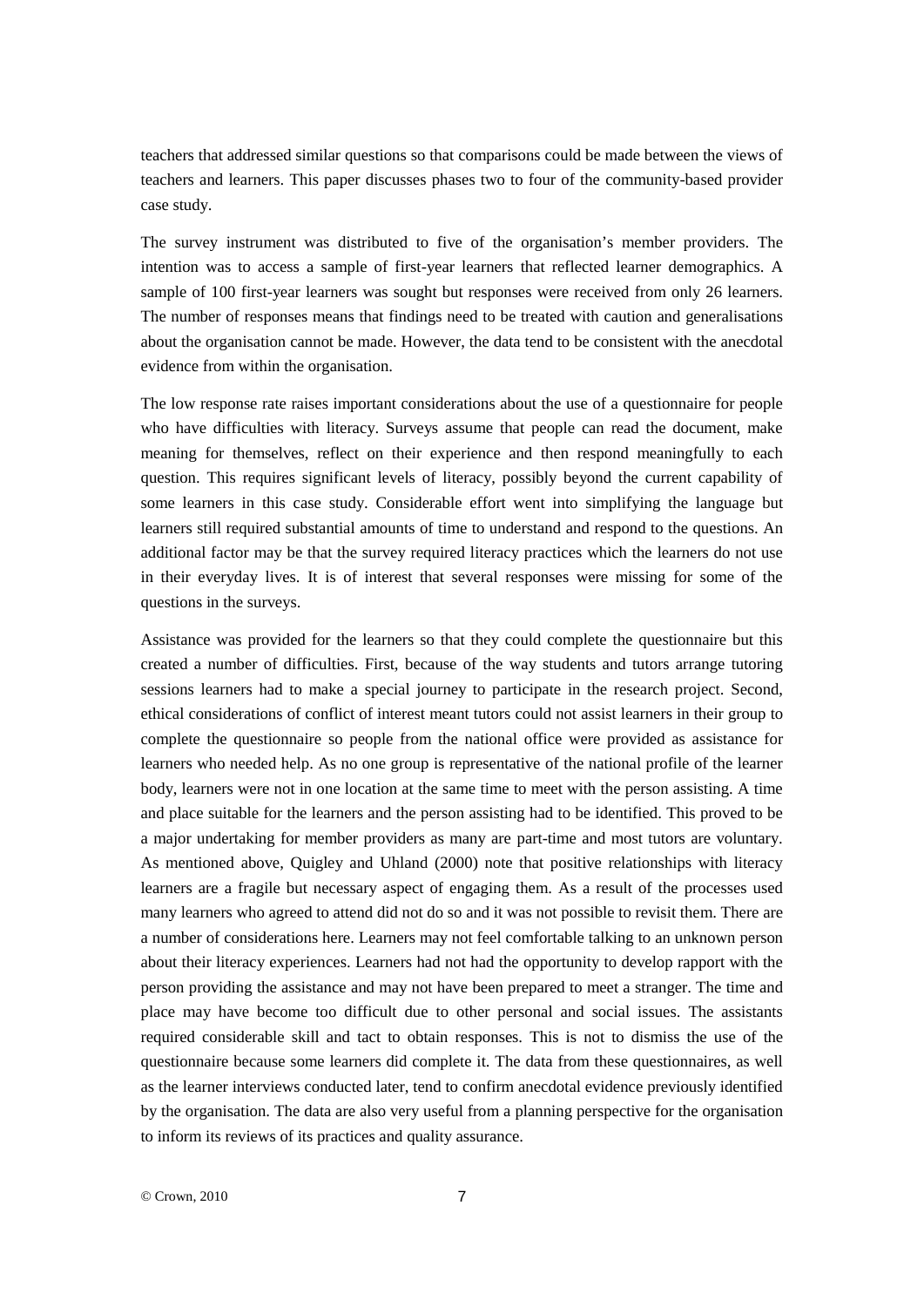teachers that addressed similar questions so that comparisons could be made between the views of teachers and learners. This paper discusses phases two to four of the community-based provider case study.

The survey instrument was distributed to five of the organisation's member providers. The intention was to access a sample of first-year learners that reflected learner demographics. A sample of 100 first-year learners was sought but responses were received from only 26 learners. The number of responses means that findings need to be treated with caution and generalisations about the organisation cannot be made. However, the data tend to be consistent with the anecdotal evidence from within the organisation.

The low response rate raises important considerations about the use of a questionnaire for people who have difficulties with literacy. Surveys assume that people can read the document, make meaning for themselves, reflect on their experience and then respond meaningfully to each question. This requires significant levels of literacy, possibly beyond the current capability of some learners in this case study. Considerable effort went into simplifying the language but learners still required substantial amounts of time to understand and respond to the questions. An additional factor may be that the survey required literacy practices which the learners do not use in their everyday lives. It is of interest that several responses were missing for some of the questions in the surveys.

Assistance was provided for the learners so that they could complete the questionnaire but this created a number of difficulties. First, because of the way students and tutors arrange tutoring sessions learners had to make a special journey to participate in the research project. Second, ethical considerations of conflict of interest meant tutors could not assist learners in their group to complete the questionnaire so people from the national office were provided as assistance for learners who needed help. As no one group is representative of the national profile of the learner body, learners were not in one location at the same time to meet with the person assisting. A time and place suitable for the learners and the person assisting had to be identified. This proved to be a major undertaking for member providers as many are part-time and most tutors are voluntary. As mentioned above, Quigley and Uhland (2000) note that positive relationships with literacy learners are a fragile but necessary aspect of engaging them. As a result of the processes used many learners who agreed to attend did not do so and it was not possible to revisit them. There are a number of considerations here. Learners may not feel comfortable talking to an unknown person about their literacy experiences. Learners had not had the opportunity to develop rapport with the person providing the assistance and may not have been prepared to meet a stranger. The time and place may have become too difficult due to other personal and social issues. The assistants required considerable skill and tact to obtain responses. This is not to dismiss the use of the questionnaire because some learners did complete it. The data from these questionnaires, as well as the learner interviews conducted later, tend to confirm anecdotal evidence previously identified by the organisation. The data are also very useful from a planning perspective for the organisation to inform its reviews of its practices and quality assurance.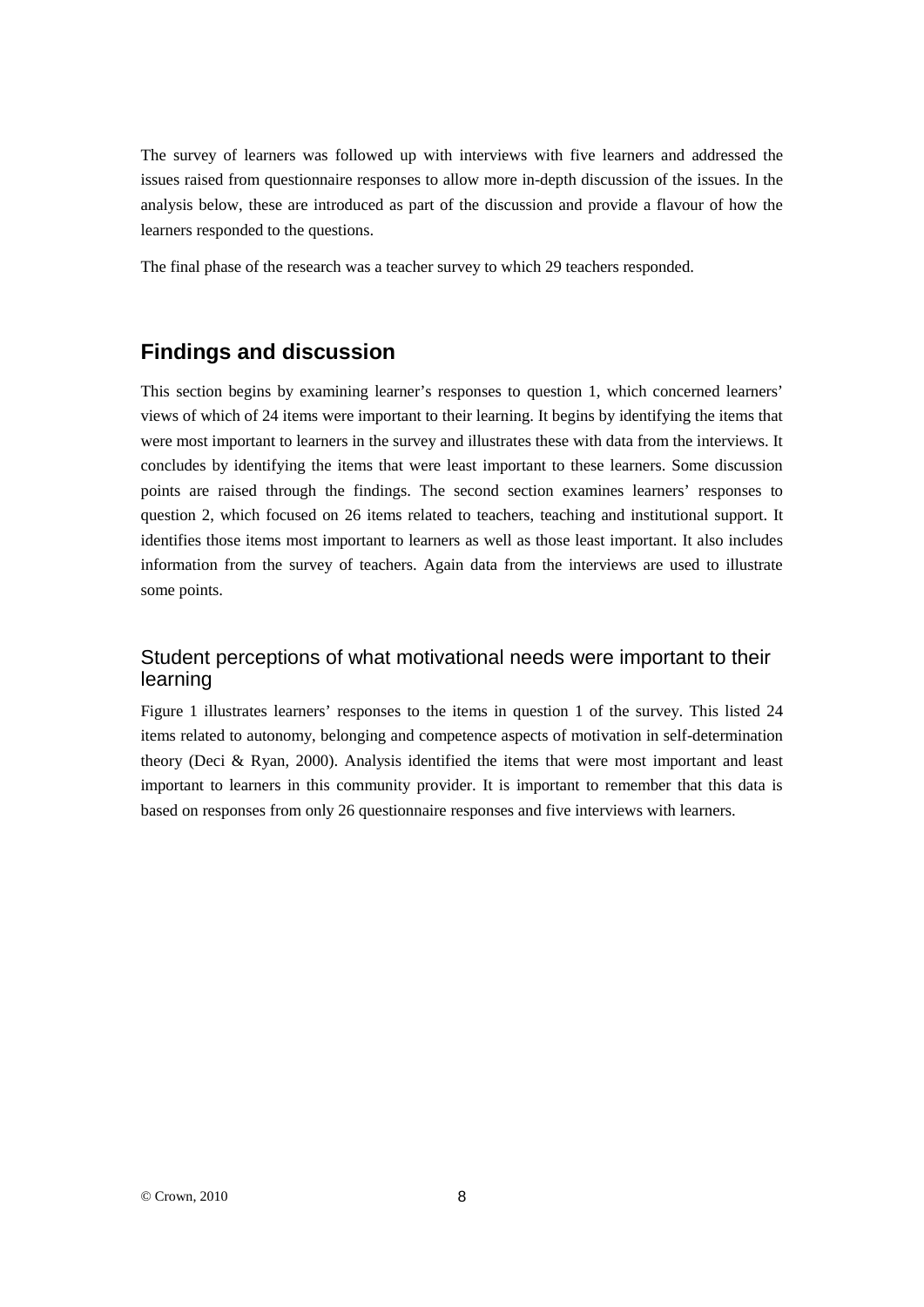The survey of learners was followed up with interviews with five learners and addressed the issues raised from questionnaire responses to allow more in-depth discussion of the issues. In the analysis below, these are introduced as part of the discussion and provide a flavour of how the learners responded to the questions.

The final phase of the research was a teacher survey to which 29 teachers responded.

### **Findings and discussion**

This section begins by examining learner's responses to question 1, which concerned learners' views of which of 24 items were important to their learning. It begins by identifying the items that were most important to learners in the survey and illustrates these with data from the interviews. It concludes by identifying the items that were least important to these learners. Some discussion points are raised through the findings. The second section examines learners' responses to question 2, which focused on 26 items related to teachers, teaching and institutional support. It identifies those items most important to learners as well as those least important. It also includes information from the survey of teachers. Again data from the interviews are used to illustrate some points.

### Student perceptions of what motivational needs were important to their learning

Figure 1 illustrates learners' responses to the items in question 1 of the survey. This listed 24 items related to autonomy, belonging and competence aspects of motivation in self-determination theory (Deci & Ryan, 2000). Analysis identified the items that were most important and least important to learners in this community provider. It is important to remember that this data is based on responses from only 26 questionnaire responses and five interviews with learners.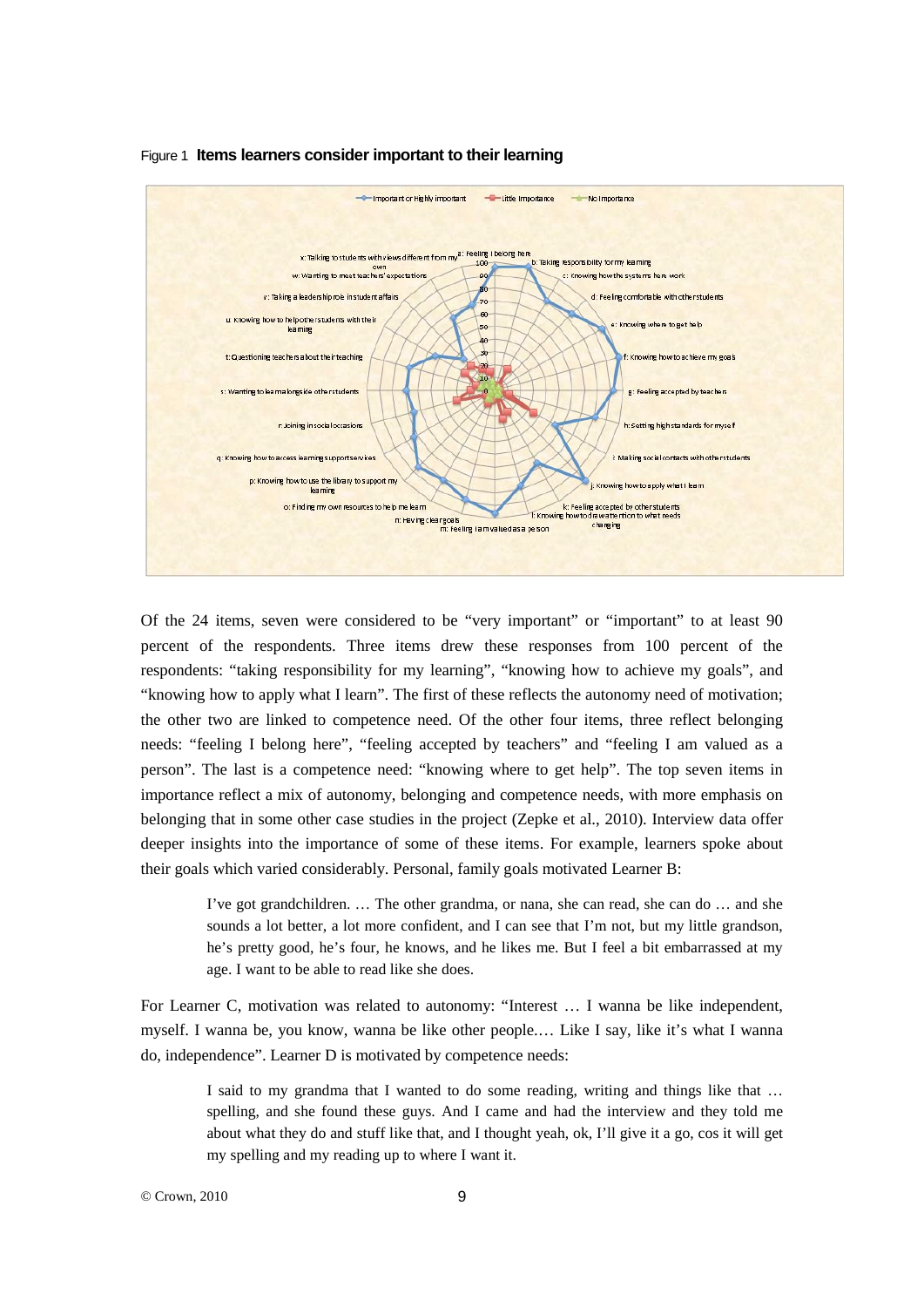

#### Figure 1 **Items learners consider important to their learning**

Of the 24 items, seven were considered to be "very important" or "important" to at least 90 percent of the respondents. Three items drew these responses from 100 percent of the respondents: "taking responsibility for my learning", "knowing how to achieve my goals", and "knowing how to apply what I learn". The first of these reflects the autonomy need of motivation; the other two are linked to competence need. Of the other four items, three reflect belonging needs: "feeling I belong here", "feeling accepted by teachers" and "feeling I am valued as a person". The last is a competence need: "knowing where to get help". The top seven items in importance reflect a mix of autonomy, belonging and competence needs, with more emphasis on belonging that in some other case studies in the project (Zepke et al., 2010). Interview data offer deeper insights into the importance of some of these items. For example, learners spoke about their goals which varied considerably. Personal, family goals motivated Learner B:

> I've got grandchildren. … The other grandma, or nana, she can read, she can do … and she sounds a lot better, a lot more confident, and I can see that I'm not, but my little grandson, he's pretty good, he's four, he knows, and he likes me. But I feel a bit embarrassed at my age. I want to be able to read like she does.

For Learner C, motivation was related to autonomy: "Interest … I wanna be like independent, myself. I wanna be, you know, wanna be like other people.… Like I say, like it's what I wanna do, independence". Learner D is motivated by competence needs:

> I said to my grandma that I wanted to do some reading, writing and things like that … spelling, and she found these guys. And I came and had the interview and they told me about what they do and stuff like that, and I thought yeah, ok, I'll give it a go, cos it will get my spelling and my reading up to where I want it.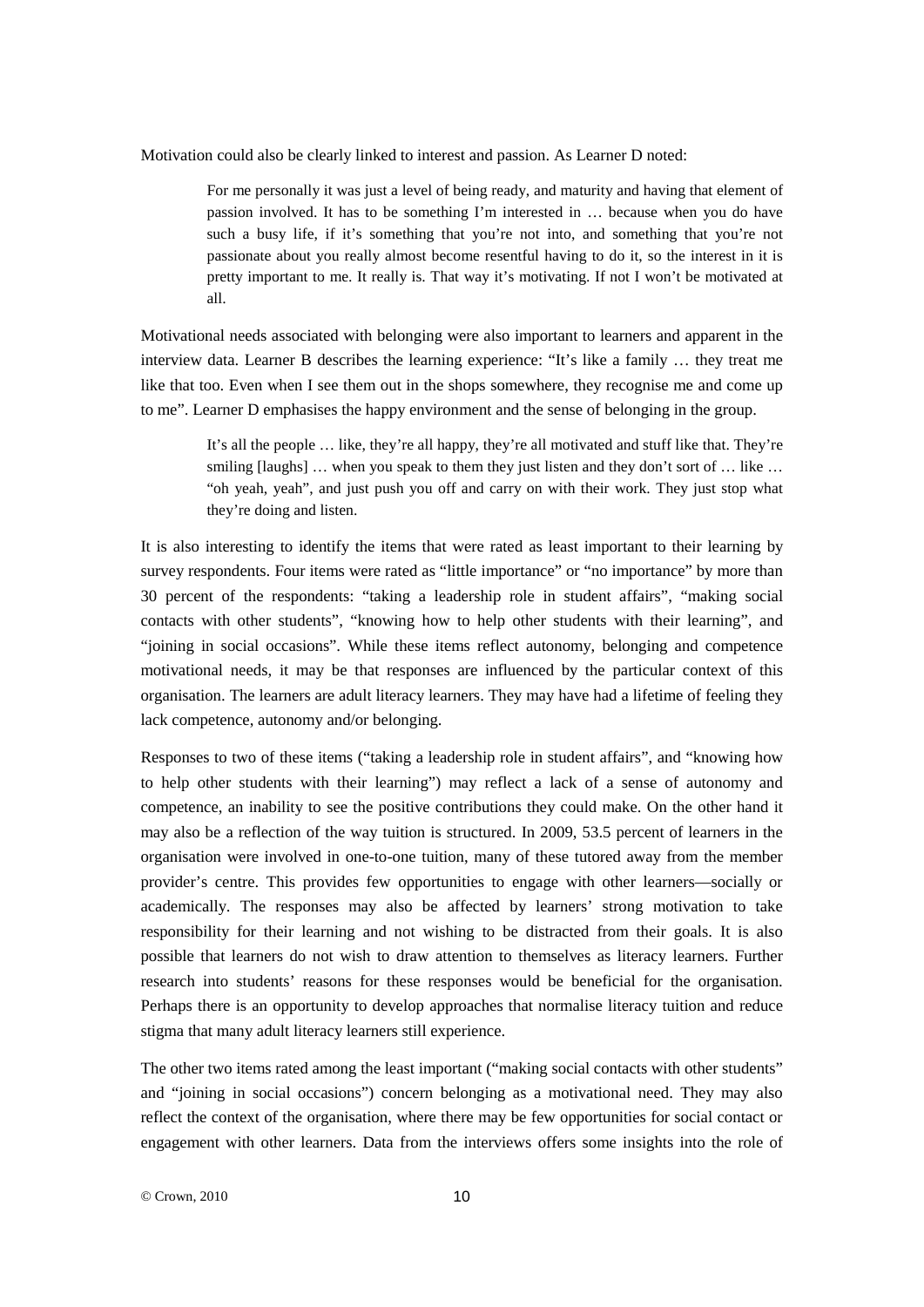Motivation could also be clearly linked to interest and passion. As Learner D noted:

For me personally it was just a level of being ready, and maturity and having that element of passion involved. It has to be something I'm interested in … because when you do have such a busy life, if it's something that you're not into, and something that you're not passionate about you really almost become resentful having to do it, so the interest in it is pretty important to me. It really is. That way it's motivating. If not I won't be motivated at all.

Motivational needs associated with belonging were also important to learners and apparent in the interview data. Learner B describes the learning experience: "It's like a family … they treat me like that too. Even when I see them out in the shops somewhere, they recognise me and come up to me". Learner D emphasises the happy environment and the sense of belonging in the group.

> It's all the people … like, they're all happy, they're all motivated and stuff like that. They're smiling [laughs] ... when you speak to them they just listen and they don't sort of ... like ... "oh yeah, yeah", and just push you off and carry on with their work. They just stop what they're doing and listen.

It is also interesting to identify the items that were rated as least important to their learning by survey respondents. Four items were rated as "little importance" or "no importance" by more than 30 percent of the respondents: "taking a leadership role in student affairs", "making social contacts with other students", "knowing how to help other students with their learning", and "joining in social occasions". While these items reflect autonomy, belonging and competence motivational needs, it may be that responses are influenced by the particular context of this organisation. The learners are adult literacy learners. They may have had a lifetime of feeling they lack competence, autonomy and/or belonging.

Responses to two of these items ("taking a leadership role in student affairs", and "knowing how to help other students with their learning") may reflect a lack of a sense of autonomy and competence, an inability to see the positive contributions they could make. On the other hand it may also be a reflection of the way tuition is structured. In 2009, 53.5 percent of learners in the organisation were involved in one-to-one tuition, many of these tutored away from the member provider's centre. This provides few opportunities to engage with other learners—socially or academically. The responses may also be affected by learners' strong motivation to take responsibility for their learning and not wishing to be distracted from their goals. It is also possible that learners do not wish to draw attention to themselves as literacy learners. Further research into students' reasons for these responses would be beneficial for the organisation. Perhaps there is an opportunity to develop approaches that normalise literacy tuition and reduce stigma that many adult literacy learners still experience.

The other two items rated among the least important ("making social contacts with other students" and "joining in social occasions") concern belonging as a motivational need. They may also reflect the context of the organisation, where there may be few opportunities for social contact or engagement with other learners. Data from the interviews offers some insights into the role of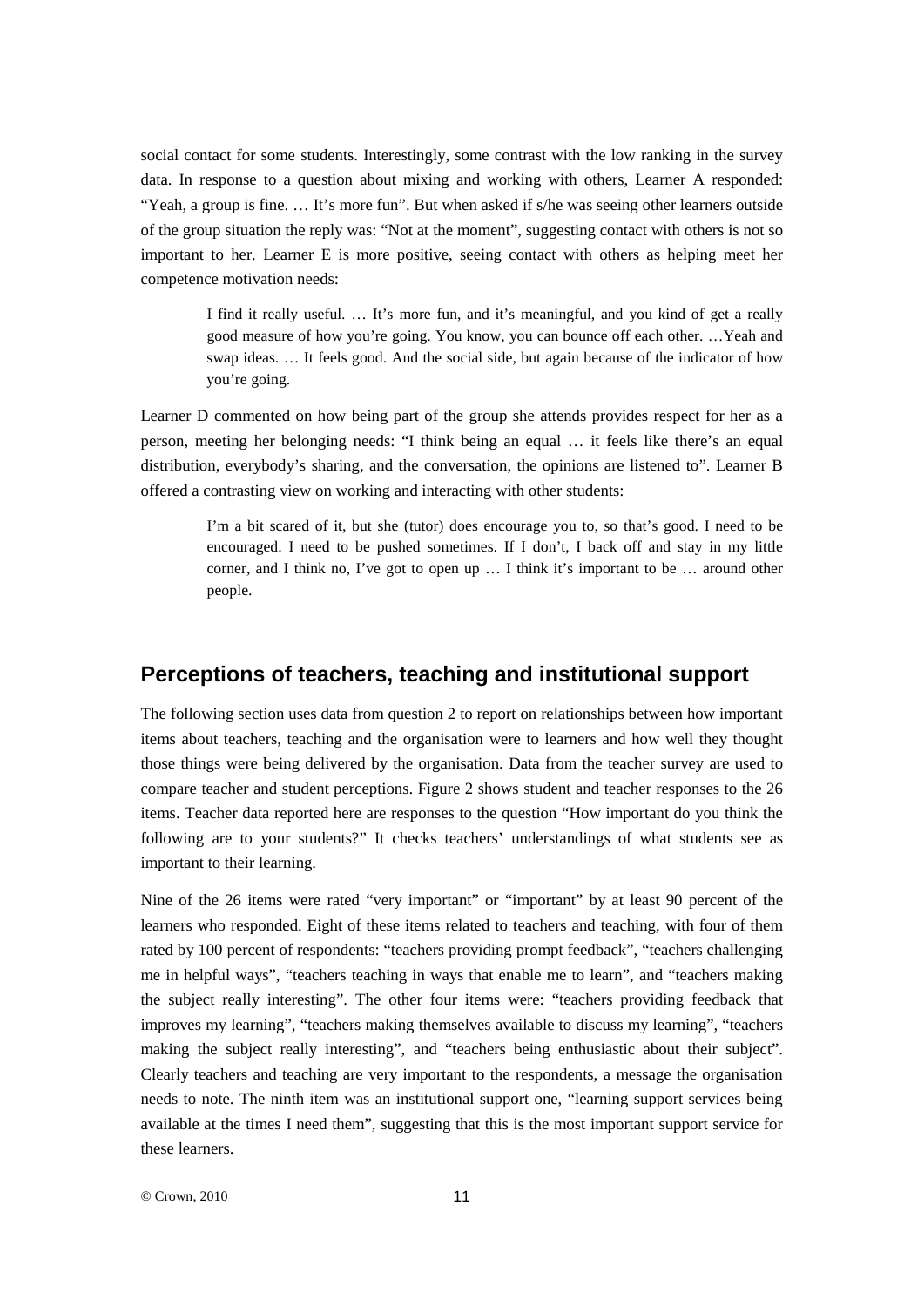social contact for some students. Interestingly, some contrast with the low ranking in the survey data. In response to a question about mixing and working with others, Learner A responded: "Yeah, a group is fine. … It's more fun". But when asked if s/he was seeing other learners outside of the group situation the reply was: "Not at the moment", suggesting contact with others is not so important to her. Learner E is more positive, seeing contact with others as helping meet her competence motivation needs:

> I find it really useful. … It's more fun, and it's meaningful, and you kind of get a really good measure of how you're going. You know, you can bounce off each other. …Yeah and swap ideas. … It feels good. And the social side, but again because of the indicator of how you're going.

Learner D commented on how being part of the group she attends provides respect for her as a person, meeting her belonging needs: "I think being an equal … it feels like there's an equal distribution, everybody's sharing, and the conversation, the opinions are listened to". Learner B offered a contrasting view on working and interacting with other students:

> I'm a bit scared of it, but she (tutor) does encourage you to, so that's good. I need to be encouraged. I need to be pushed sometimes. If I don't, I back off and stay in my little corner, and I think no, I've got to open up … I think it's important to be … around other people.

#### **Perceptions of teachers, teaching and institutional support**

The following section uses data from question 2 to report on relationships between how important items about teachers, teaching and the organisation were to learners and how well they thought those things were being delivered by the organisation. Data from the teacher survey are used to compare teacher and student perceptions. Figure 2 shows student and teacher responses to the 26 items. Teacher data reported here are responses to the question "How important do you think the following are to your students?" It checks teachers' understandings of what students see as important to their learning.

Nine of the 26 items were rated "very important" or "important" by at least 90 percent of the learners who responded. Eight of these items related to teachers and teaching, with four of them rated by 100 percent of respondents: "teachers providing prompt feedback", "teachers challenging me in helpful ways", "teachers teaching in ways that enable me to learn", and "teachers making the subject really interesting". The other four items were: "teachers providing feedback that improves my learning", "teachers making themselves available to discuss my learning", "teachers making the subject really interesting", and "teachers being enthusiastic about their subject". Clearly teachers and teaching are very important to the respondents, a message the organisation needs to note. The ninth item was an institutional support one, "learning support services being available at the times I need them", suggesting that this is the most important support service for these learners.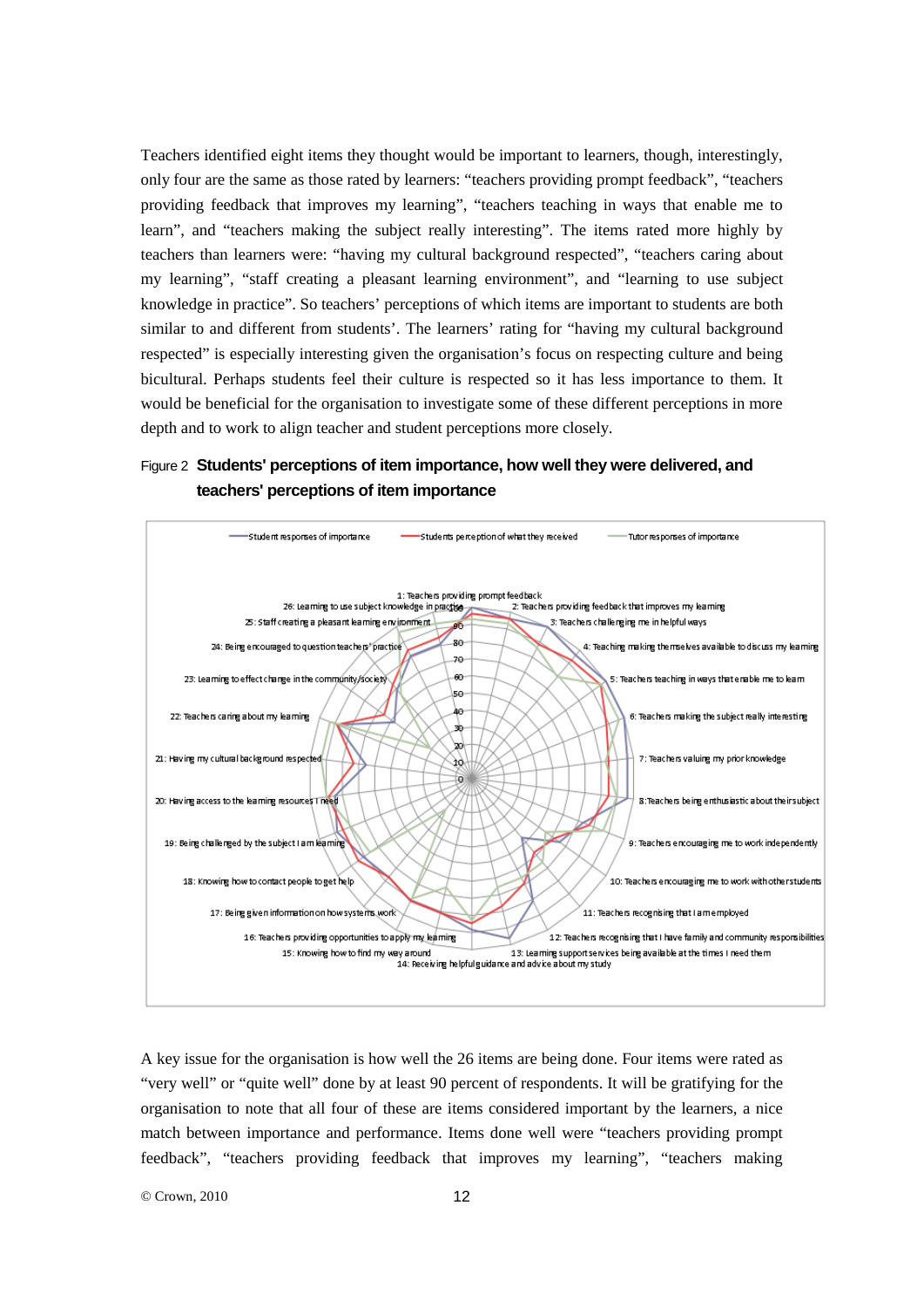Teachers identified eight items they thought would be important to learners, though, interestingly, only four are the same as those rated by learners: "teachers providing prompt feedback", "teachers providing feedback that improves my learning", "teachers teaching in ways that enable me to learn", and "teachers making the subject really interesting". The items rated more highly by teachers than learners were: "having my cultural background respected", "teachers caring about my learning", "staff creating a pleasant learning environment", and "learning to use subject knowledge in practice". So teachers' perceptions of which items are important to students are both similar to and different from students'. The learners' rating for "having my cultural background respected" is especially interesting given the organisation's focus on respecting culture and being bicultural. Perhaps students feel their culture is respected so it has less importance to them. It would be beneficial for the organisation to investigate some of these different perceptions in more depth and to work to align teacher and student perceptions more closely.

#### Figure 2 **Students' perceptions of item importance, how well they were delivered, and teachers' perceptions of item importance**



A key issue for the organisation is how well the 26 items are being done. Four items were rated as "very well" or "quite well" done by at least 90 percent of respondents. It will be gratifying for the organisation to note that all four of these are items considered important by the learners, a nice match between importance and performance. Items done well were "teachers providing prompt feedback", "teachers providing feedback that improves my learning", "teachers making

© Crown, 2010 12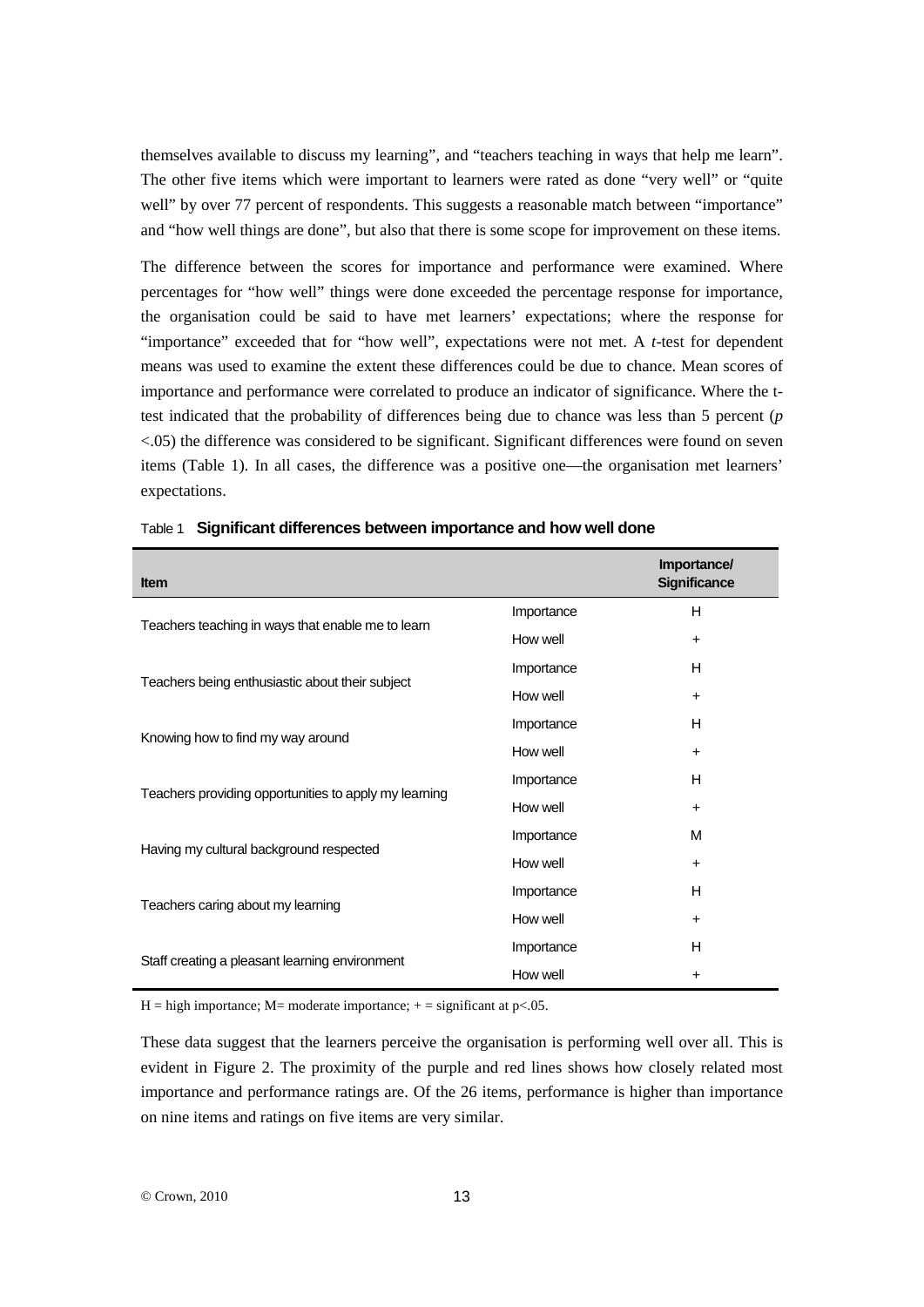themselves available to discuss my learning", and "teachers teaching in ways that help me learn". The other five items which were important to learners were rated as done "very well" or "quite well" by over 77 percent of respondents. This suggests a reasonable match between "importance" and "how well things are done", but also that there is some scope for improvement on these items.

The difference between the scores for importance and performance were examined. Where percentages for "how well" things were done exceeded the percentage response for importance, the organisation could be said to have met learners' expectations; where the response for "importance" exceeded that for "how well", expectations were not met. A *t*-test for dependent means was used to examine the extent these differences could be due to chance. Mean scores of importance and performance were correlated to produce an indicator of significance. Where the ttest indicated that the probability of differences being due to chance was less than 5 percent (*p* <.05) the difference was considered to be significant. Significant differences were found on seven items (Table 1). In all cases, the difference was a positive one—the organisation met learners' expectations.

| <b>Item</b>                                           |            | Importance/<br><b>Significance</b> |
|-------------------------------------------------------|------------|------------------------------------|
| Teachers teaching in ways that enable me to learn     | Importance | H                                  |
|                                                       | How well   | $\ddot{}$                          |
| Teachers being enthusiastic about their subject       | Importance | H                                  |
|                                                       | How well   | $\ddot{}$                          |
| Knowing how to find my way around                     | Importance | H                                  |
|                                                       | How well   | $\ddot{}$                          |
| Teachers providing opportunities to apply my learning | Importance | H                                  |
|                                                       | How well   | $\ddot{}$                          |
| Having my cultural background respected               | Importance | м                                  |
|                                                       | How well   | $\ddot{}$                          |
| Teachers caring about my learning                     | Importance | H                                  |
|                                                       | How well   | $\ddot{}$                          |
| Staff creating a pleasant learning environment        | Importance | H                                  |
|                                                       | How well   | $\ddot{}$                          |

H = high importance; M = moderate importance;  $+$  = significant at p<.05.

These data suggest that the learners perceive the organisation is performing well over all. This is evident in Figure 2. The proximity of the purple and red lines shows how closely related most importance and performance ratings are. Of the 26 items, performance is higher than importance on nine items and ratings on five items are very similar.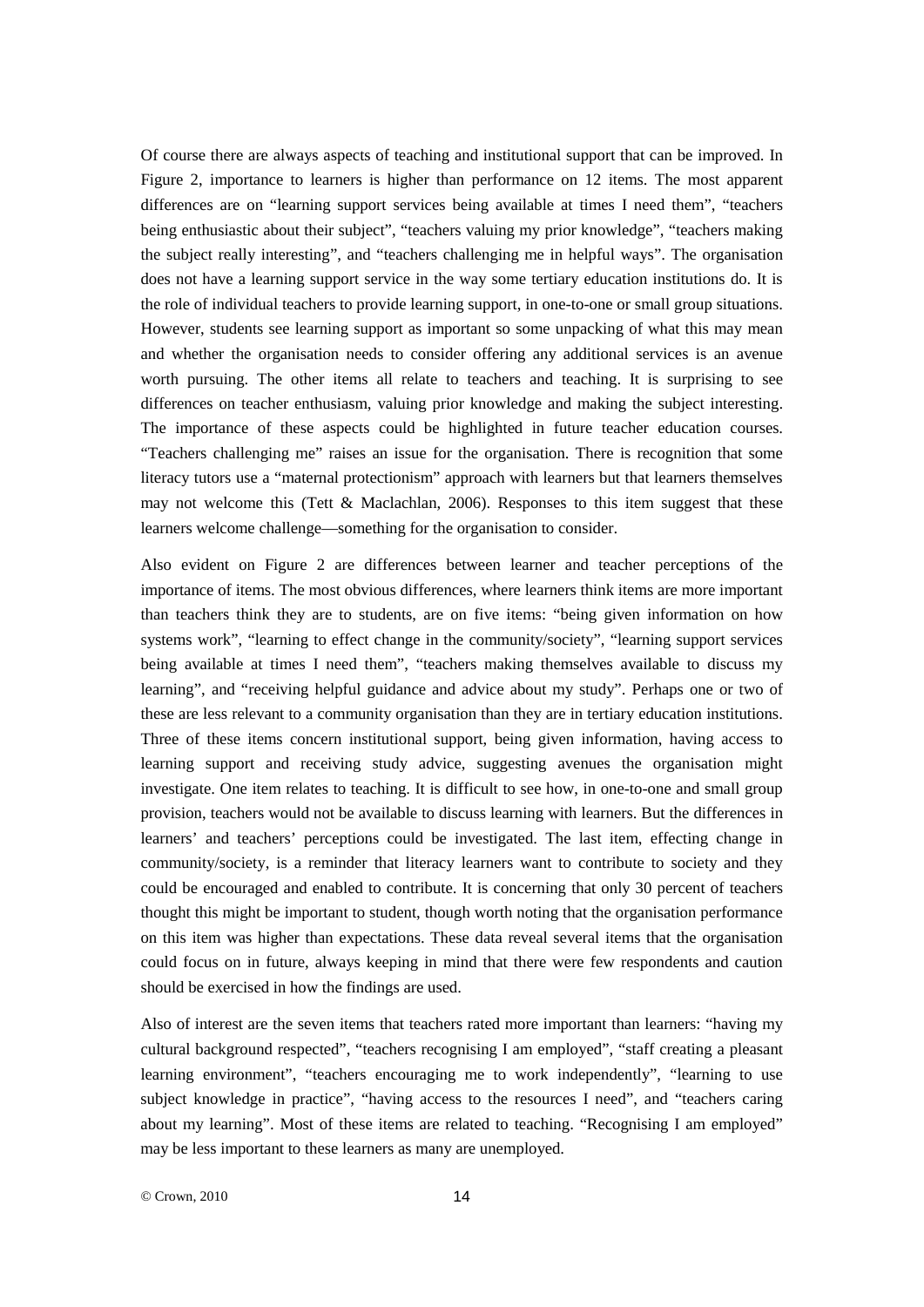Of course there are always aspects of teaching and institutional support that can be improved. In Figure 2, importance to learners is higher than performance on 12 items. The most apparent differences are on "learning support services being available at times I need them", "teachers being enthusiastic about their subject", "teachers valuing my prior knowledge", "teachers making the subject really interesting", and "teachers challenging me in helpful ways". The organisation does not have a learning support service in the way some tertiary education institutions do. It is the role of individual teachers to provide learning support, in one-to-one or small group situations. However, students see learning support as important so some unpacking of what this may mean and whether the organisation needs to consider offering any additional services is an avenue worth pursuing. The other items all relate to teachers and teaching. It is surprising to see differences on teacher enthusiasm, valuing prior knowledge and making the subject interesting. The importance of these aspects could be highlighted in future teacher education courses. "Teachers challenging me" raises an issue for the organisation. There is recognition that some literacy tutors use a "maternal protectionism" approach with learners but that learners themselves may not welcome this (Tett & Maclachlan, 2006). Responses to this item suggest that these learners welcome challenge—something for the organisation to consider.

Also evident on Figure 2 are differences between learner and teacher perceptions of the importance of items. The most obvious differences, where learners think items are more important than teachers think they are to students, are on five items: "being given information on how systems work", "learning to effect change in the community/society", "learning support services being available at times I need them", "teachers making themselves available to discuss my learning", and "receiving helpful guidance and advice about my study". Perhaps one or two of these are less relevant to a community organisation than they are in tertiary education institutions. Three of these items concern institutional support, being given information, having access to learning support and receiving study advice, suggesting avenues the organisation might investigate. One item relates to teaching. It is difficult to see how, in one-to-one and small group provision, teachers would not be available to discuss learning with learners. But the differences in learners' and teachers' perceptions could be investigated. The last item, effecting change in community/society, is a reminder that literacy learners want to contribute to society and they could be encouraged and enabled to contribute. It is concerning that only 30 percent of teachers thought this might be important to student, though worth noting that the organisation performance on this item was higher than expectations. These data reveal several items that the organisation could focus on in future, always keeping in mind that there were few respondents and caution should be exercised in how the findings are used.

Also of interest are the seven items that teachers rated more important than learners: "having my cultural background respected", "teachers recognising I am employed", "staff creating a pleasant learning environment", "teachers encouraging me to work independently", "learning to use subject knowledge in practice", "having access to the resources I need", and "teachers caring about my learning". Most of these items are related to teaching. "Recognising I am employed" may be less important to these learners as many are unemployed.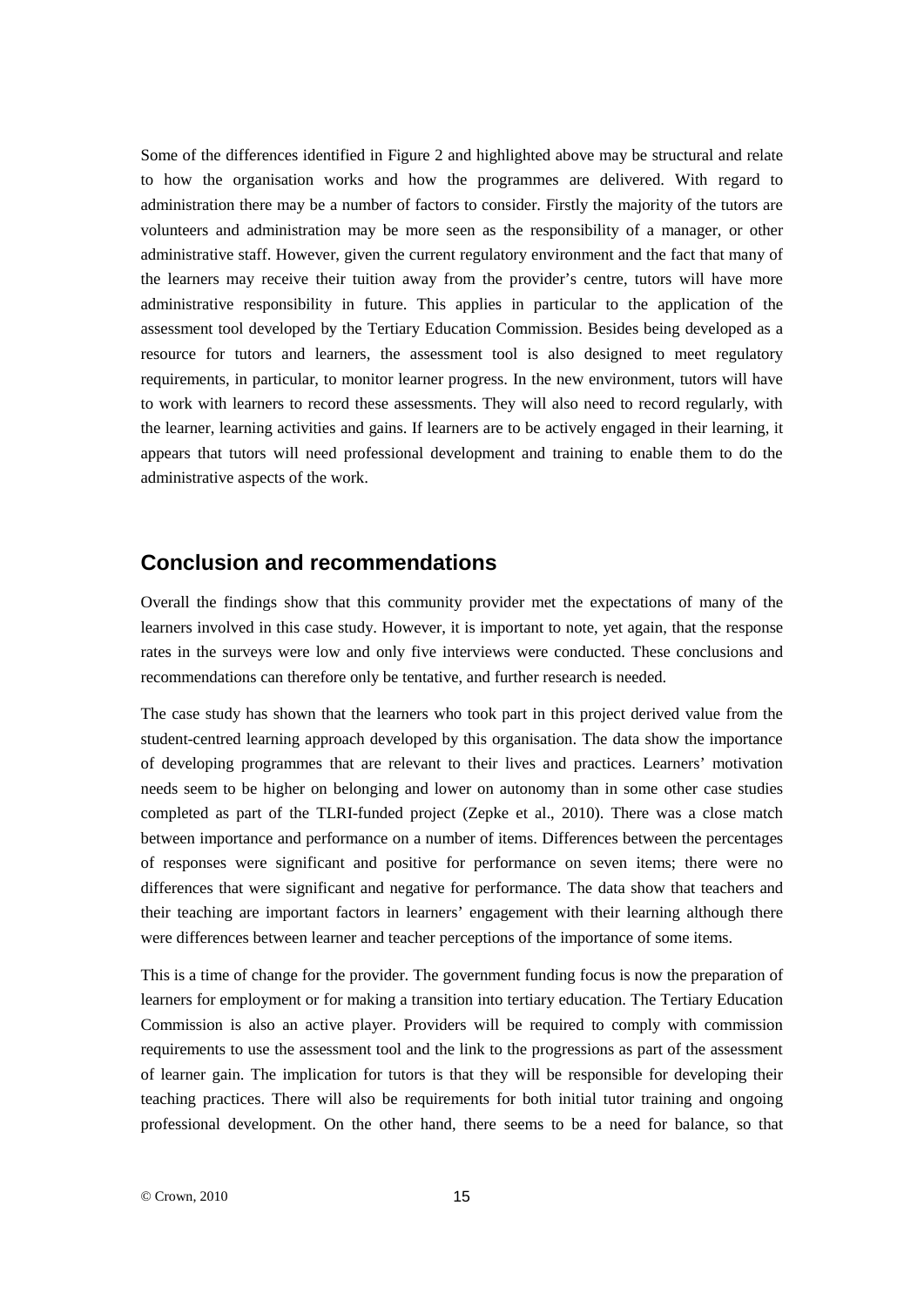Some of the differences identified in Figure 2 and highlighted above may be structural and relate to how the organisation works and how the programmes are delivered. With regard to administration there may be a number of factors to consider. Firstly the majority of the tutors are volunteers and administration may be more seen as the responsibility of a manager, or other administrative staff. However, given the current regulatory environment and the fact that many of the learners may receive their tuition away from the provider's centre, tutors will have more administrative responsibility in future. This applies in particular to the application of the assessment tool developed by the Tertiary Education Commission. Besides being developed as a resource for tutors and learners, the assessment tool is also designed to meet regulatory requirements, in particular, to monitor learner progress. In the new environment, tutors will have to work with learners to record these assessments. They will also need to record regularly, with the learner, learning activities and gains. If learners are to be actively engaged in their learning, it appears that tutors will need professional development and training to enable them to do the administrative aspects of the work.

#### **Conclusion and recommendations**

Overall the findings show that this community provider met the expectations of many of the learners involved in this case study. However, it is important to note, yet again, that the response rates in the surveys were low and only five interviews were conducted. These conclusions and recommendations can therefore only be tentative, and further research is needed.

The case study has shown that the learners who took part in this project derived value from the student-centred learning approach developed by this organisation. The data show the importance of developing programmes that are relevant to their lives and practices. Learners' motivation needs seem to be higher on belonging and lower on autonomy than in some other case studies completed as part of the TLRI-funded project (Zepke et al., 2010). There was a close match between importance and performance on a number of items. Differences between the percentages of responses were significant and positive for performance on seven items; there were no differences that were significant and negative for performance. The data show that teachers and their teaching are important factors in learners' engagement with their learning although there were differences between learner and teacher perceptions of the importance of some items.

This is a time of change for the provider. The government funding focus is now the preparation of learners for employment or for making a transition into tertiary education. The Tertiary Education Commission is also an active player. Providers will be required to comply with commission requirements to use the assessment tool and the link to the progressions as part of the assessment of learner gain. The implication for tutors is that they will be responsible for developing their teaching practices. There will also be requirements for both initial tutor training and ongoing professional development. On the other hand, there seems to be a need for balance, so that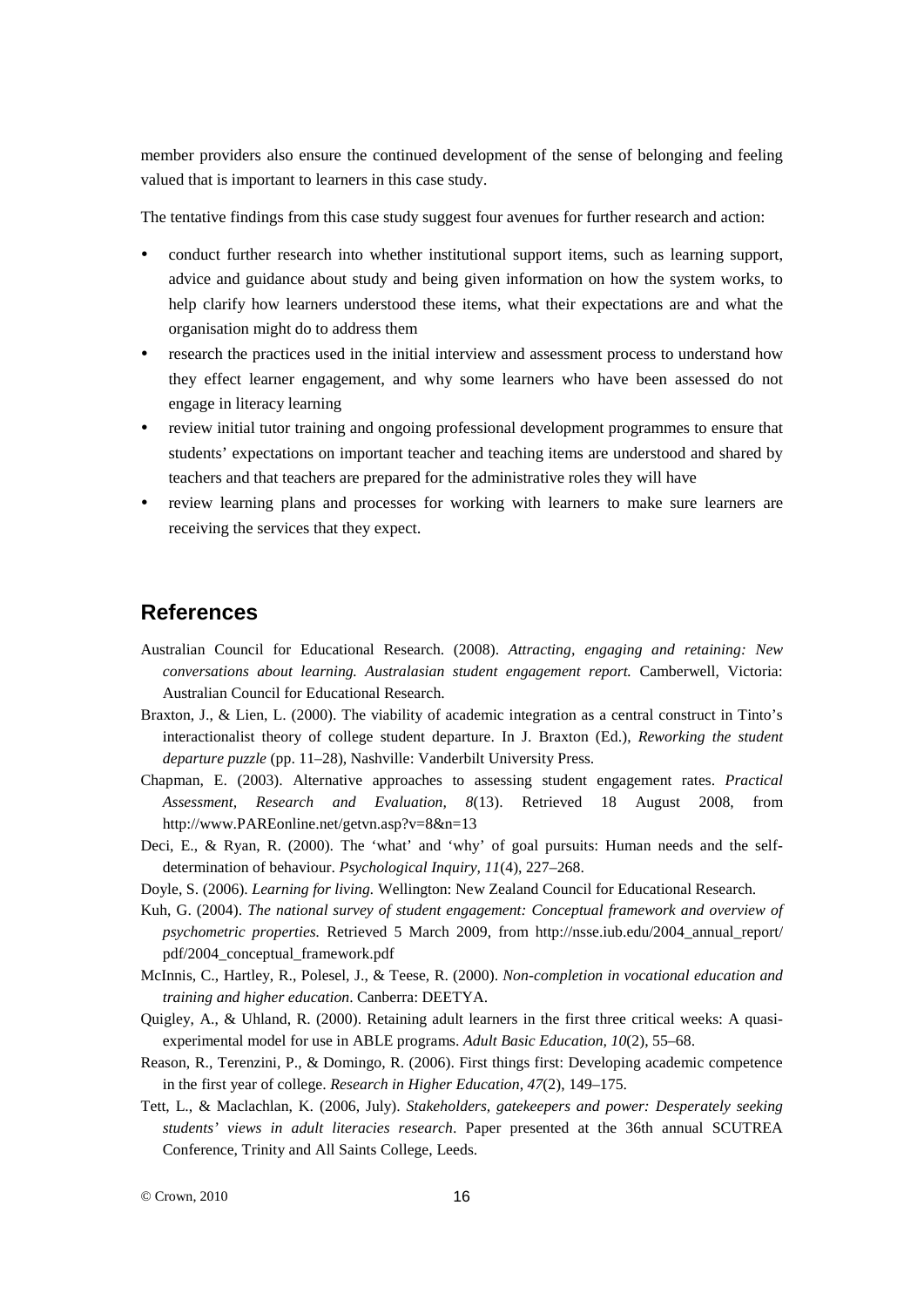member providers also ensure the continued development of the sense of belonging and feeling valued that is important to learners in this case study.

The tentative findings from this case study suggest four avenues for further research and action:

- conduct further research into whether institutional support items, such as learning support, advice and guidance about study and being given information on how the system works, to help clarify how learners understood these items, what their expectations are and what the organisation might do to address them
- research the practices used in the initial interview and assessment process to understand how they effect learner engagement, and why some learners who have been assessed do not engage in literacy learning
- review initial tutor training and ongoing professional development programmes to ensure that students' expectations on important teacher and teaching items are understood and shared by teachers and that teachers are prepared for the administrative roles they will have
- review learning plans and processes for working with learners to make sure learners are receiving the services that they expect.

#### **References**

- Australian Council for Educational Research. (2008). *Attracting, engaging and retaining: New conversations about learning. Australasian student engagement report.* Camberwell, Victoria: Australian Council for Educational Research.
- Braxton, J., & Lien, L. (2000). The viability of academic integration as a central construct in Tinto's interactionalist theory of college student departure. In J. Braxton (Ed.), *Reworking the student departure puzzle* (pp. 11–28), Nashville: Vanderbilt University Press.
- Chapman, E. (2003). Alternative approaches to assessing student engagement rates. *Practical Assessment, Research and Evaluation, 8*(13). Retrieved 18 August 2008, from http://www.PAREonline.net/getvn.asp?v=8&n=13
- Deci, E., & Ryan, R. (2000). The 'what' and 'why' of goal pursuits: Human needs and the selfdetermination of behaviour. *Psychological Inquiry, 11*(4), 227–268.
- Doyle, S. (2006). *Learning for living.* Wellington: New Zealand Council for Educational Research.
- Kuh, G. (2004). *The national survey of student engagement: Conceptual framework and overview of psychometric properties.* Retrieved 5 March 2009, from http://nsse.iub.edu/2004\_annual\_report/ pdf/2004\_conceptual\_framework.pdf
- McInnis, C., Hartley, R., Polesel, J., & Teese, R. (2000). *Non-completion in vocational education and training and higher education*. Canberra: DEETYA.
- Quigley, A., & Uhland, R. (2000). Retaining adult learners in the first three critical weeks: A quasiexperimental model for use in ABLE programs. *Adult Basic Education, 10*(2), 55–68.
- Reason, R., Terenzini, P., & Domingo, R. (2006). First things first: Developing academic competence in the first year of college. *Research in Higher Education*, *47*(2), 149–175.
- Tett, L., & Maclachlan, K. (2006, July). *Stakeholders, gatekeepers and power: Desperately seeking students' views in adult literacies research*. Paper presented at the 36th annual SCUTREA Conference, Trinity and All Saints College, Leeds.